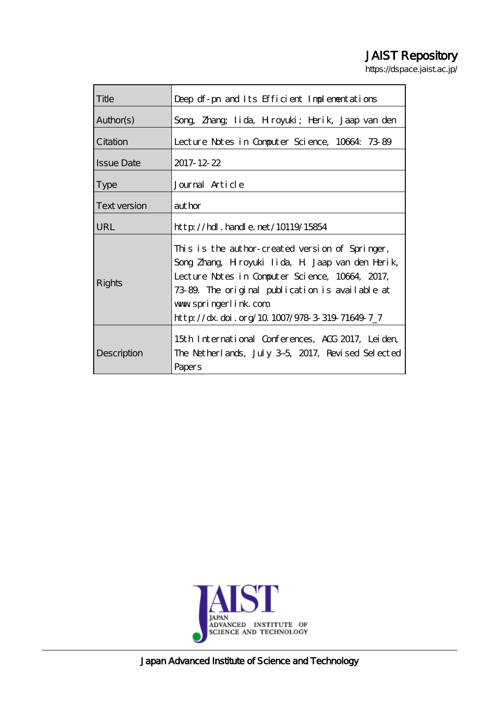## JAIST Repository

https://dspace.jaist.ac.jp/

| Title             | Deep df-pn and Its Efficient Implementations                                                                                                                                                                                                                                      |  |  |  |
|-------------------|-----------------------------------------------------------------------------------------------------------------------------------------------------------------------------------------------------------------------------------------------------------------------------------|--|--|--|
| Author(s)         | Song, Zhang, Iida, Hroyuki; Herik, Jaap van den                                                                                                                                                                                                                                   |  |  |  |
| Citation          | Lecture Notes in Computer Science, 10664: 73-89                                                                                                                                                                                                                                   |  |  |  |
| <b>Issue Date</b> | 2017-12-22                                                                                                                                                                                                                                                                        |  |  |  |
| <b>Type</b>       | Journal Article                                                                                                                                                                                                                                                                   |  |  |  |
| Text version      | aut hor                                                                                                                                                                                                                                                                           |  |  |  |
| URL               | $\frac{\text{http}}{\text{10119}}$ . handle. net/10119/15854                                                                                                                                                                                                                      |  |  |  |
| Rights            | This is the author-created version of Springer,<br>Song Zhang, Hroyuki Iida, H Jaap van den Herik,<br>Lecture Notes in Computer Science, 10664, 2017,<br>73-89. The original publication is available at<br>www.springerlink.com<br>http://dx.doi.org/10.1007/978-3-319-71649-7_7 |  |  |  |
| Description       | 15th International Conferences, ACG 2017, Leiden,<br>The Netherlands, July 3-5, 2017, Revised Selected<br>Papers                                                                                                                                                                  |  |  |  |



Japan Advanced Institute of Science and Technology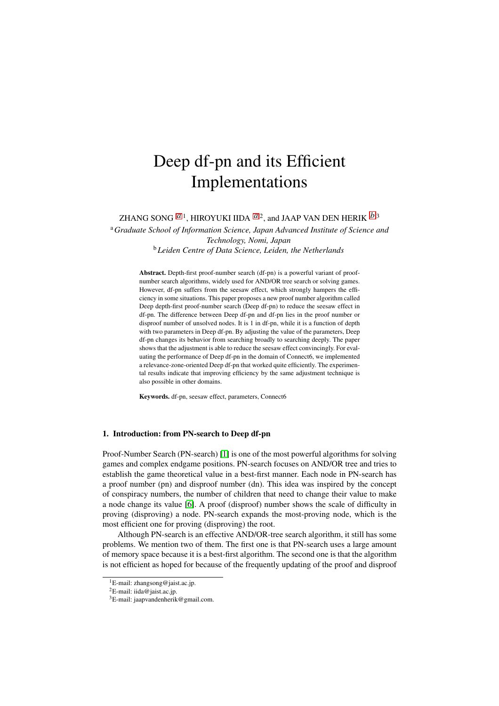# Deep df-pn and its Efficient Implementations

<span id="page-1-0"></span>ZHANG SONG  $^{a,1}$  $^{a,1}$  $^{a,1}$ , HIROYUKI IIDA  $^{a,2}$ , and JAAP VAN DEN HERIK  $^{b,3}$  $^{b,3}$  $^{b,3}$ 

<span id="page-1-1"></span><sup>a</sup>*Graduate School of Information Science, Japan Advanced Institute of Science and Technology, Nomi, Japan* <sup>b</sup>*Leiden Centre of Data Science, Leiden, the Netherlands*

> Abstract. Depth-first proof-number search (df-pn) is a powerful variant of proofnumber search algorithms, widely used for AND/OR tree search or solving games. However, df-pn suffers from the seesaw effect, which strongly hampers the efficiency in some situations. This paper proposes a new proof number algorithm called Deep depth-first proof-number search (Deep df-pn) to reduce the seesaw effect in df-pn. The difference between Deep df-pn and df-pn lies in the proof number or disproof number of unsolved nodes. It is 1 in df-pn, while it is a function of depth with two parameters in Deep df-pn. By adjusting the value of the parameters, Deep df-pn changes its behavior from searching broadly to searching deeply. The paper shows that the adjustment is able to reduce the seesaw effect convincingly. For evaluating the performance of Deep df-pn in the domain of Connect6, we implemented a relevance-zone-oriented Deep df-pn that worked quite efficiently. The experimental results indicate that improving efficiency by the same adjustment technique is also possible in other domains.

Keywords. df-pn, seesaw effect, parameters, Connect6

## 1. Introduction: from PN-search to Deep df-pn

Proof-Number Search (PN-search) [1] is one of the most powerful algorithms for solving games and complex endgame positions. PN-search focuses on AND/OR tree and tries to establish the game theoretical value in a best-first manner. Each node in PN-search has a proof number (pn) and disproof number (dn). This idea was inspired by the concept of conspiracy numbers, the number of children that need to change their value to make a node change its value [6]. A proof (disproof) number shows the scale of difficulty in proving (disproving) a node. PN-search expands the most-proving node, which is the most efficient one for proving (disproving) the root.

Although PN-search is an effective AND/OR-tree search algorithm, it still has some problems. We mention two of them. The first one is that PN-search uses a large amount of memory space because it is a best-first algorithm. The second one is that the algorithm is not efficient as hoped for because of the frequently updating of the proof and disproof

<sup>&</sup>lt;sup>1</sup>E-mail: zhangsong@jaist.ac.jp.

 ${}^{2}E$ -mail: iida@jaist.ac.jp.

<sup>3</sup>E-mail: jaapvandenherik@gmail.com.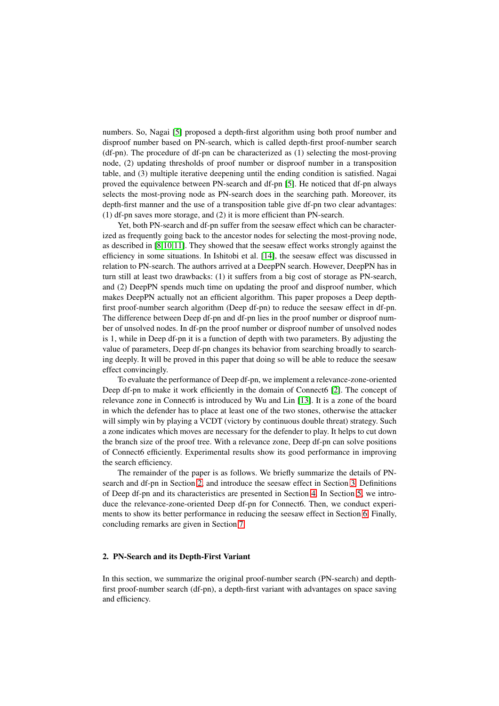numbers. So, Nagai [5] proposed a depth-first algorithm using both proof number and disproof number based on PN-search, which is called depth-first proof-number search (df-pn). The procedure of df-pn can be characterized as (1) selecting the most-proving node, (2) updating thresholds of proof number or disproof number in a transposition table, and (3) multiple iterative deepening until the ending condition is satisfied. Nagai proved the equivalence between PN-search and df-pn [5]. He noticed that df-pn always selects the most-proving node as PN-search does in the searching path. Moreover, its depth-first manner and the use of a transposition table give df-pn two clear advantages: (1) df-pn saves more storage, and (2) it is more efficient than PN-search.

Yet, both PN-search and df-pn suffer from the seesaw effect which can be characterized as frequently going back to the ancestor nodes for selecting the most-proving node, as described in [8,10,11]. They showed that the seesaw effect works strongly against the efficiency in some situations. In Ishitobi et al. [14], the seesaw effect was discussed in relation to PN-search. The authors arrived at a DeepPN search. However, DeepPN has in turn still at least two drawbacks: (1) it suffers from a big cost of storage as PN-search, and (2) DeepPN spends much time on updating the proof and disproof number, which makes DeepPN actually not an efficient algorithm. This paper proposes a Deep depthfirst proof-number search algorithm (Deep df-pn) to reduce the seesaw effect in df-pn. The difference between Deep df-pn and df-pn lies in the proof number or disproof number of unsolved nodes. In df-pn the proof number or disproof number of unsolved nodes is 1, while in Deep df-pn it is a function of depth with two parameters. By adjusting the value of parameters, Deep df-pn changes its behavior from searching broadly to searching deeply. It will be proved in this paper that doing so will be able to reduce the seesaw effect convincingly.

To evaluate the performance of Deep df-pn, we implement a relevance-zone-oriented Deep df-pn to make it work efficiently in the domain of Connect6 [2]. The concept of relevance zone in Connect6 is introduced by Wu and Lin [13]. It is a zone of the board in which the defender has to place at least one of the two stones, otherwise the attacker will simply win by playing a VCDT (victory by continuous double threat) strategy. Such a zone indicates which moves are necessary for the defender to play. It helps to cut down the branch size of the proof tree. With a relevance zone, Deep df-pn can solve positions of Connect6 efficiently. Experimental results show its good performance in improving the search efficiency.

The remainder of the paper is as follows. We briefly summarize the details of PNsearch and df-pn in Section [2,](#page-2-0) and introduce the seesaw effect in Section [3.](#page-4-0) Definitions of Deep df-pn and its characteristics are presented in Section [4.](#page-5-0) In Section [5,](#page-7-0) we introduce the relevance-zone-oriented Deep df-pn for Connect6. Then, we conduct experiments to show its better performance in reducing the seesaw effect in Section [6.](#page-8-0) Finally, concluding remarks are given in Section [7.](#page-14-0)

## <span id="page-2-0"></span>2. PN-Search and its Depth-First Variant

In this section, we summarize the original proof-number search (PN-search) and depthfirst proof-number search (df-pn), a depth-first variant with advantages on space saving and efficiency.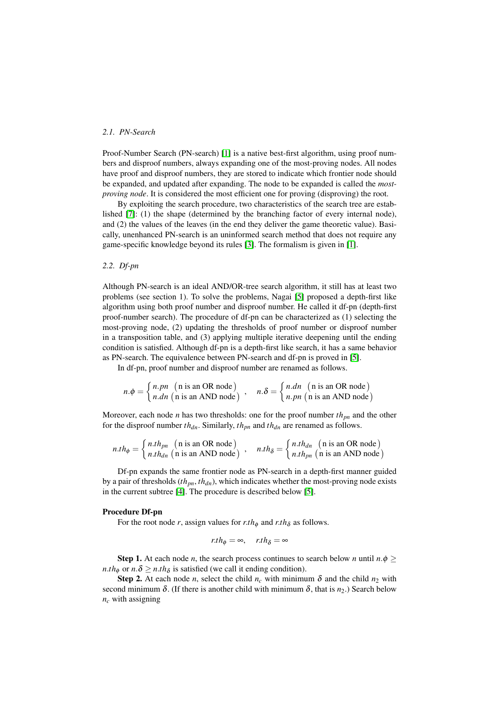## *2.1. PN-Search*

Proof-Number Search (PN-search) [1] is a native best-first algorithm, using proof numbers and disproof numbers, always expanding one of the most-proving nodes. All nodes have proof and disproof numbers, they are stored to indicate which frontier node should be expanded, and updated after expanding. The node to be expanded is called the *mostproving node*. It is considered the most efficient one for proving (disproving) the root.

By exploiting the search procedure, two characteristics of the search tree are established [7]: (1) the shape (determined by the branching factor of every internal node), and (2) the values of the leaves (in the end they deliver the game theoretic value). Basically, unenhanced PN-search is an uninformed search method that does not require any game-specific knowledge beyond its rules [3]. The formalism is given in [1].

#### <span id="page-3-0"></span>*2.2. Df-pn*

Although PN-search is an ideal AND/OR-tree search algorithm, it still has at least two problems (see section 1). To solve the problems, Nagai [5] proposed a depth-first like algorithm using both proof number and disproof number. He called it df-pn (depth-first proof-number search). The procedure of df-pn can be characterized as (1) selecting the most-proving node, (2) updating the thresholds of proof number or disproof number in a transposition table, and (3) applying multiple iterative deepening until the ending condition is satisfied. Although df-pn is a depth-first like search, it has a same behavior as PN-search. The equivalence between PN-search and df-pn is proved in [5].

In df-pn, proof number and disproof number are renamed as follows.

$$
n.\phi = \begin{cases} n.pn & \text{(n is an OR node)} \\ n.dn & \text{(n is an AND node)} \end{cases}, \quad n.\delta = \begin{cases} n.dn & \text{(n is an OR node)} \\ n.pn & \text{(n is an AND node)} \end{cases}
$$

Moreover, each node *n* has two thresholds: one for the proof number *thpn* and the other for the disproof number *thdn*. Similarly, *thpn* and *thdn* are renamed as follows.

$$
n.th_{\phi} = \begin{cases} n.th_{pn} & \text{(n is an OR node)} \\ n.th_{dn} & \text{(n is an AND node)} \end{cases}, \quad n.th_{\delta} = \begin{cases} n.th_{dn} & \text{(n is an OR node)} \\ n.th_{pn} & \text{(n is an AND node)} \end{cases}
$$

Df-pn expands the same frontier node as PN-search in a depth-first manner guided by a pair of thresholds (*thpn*, *thdn*), which indicates whether the most-proving node exists in the current subtree [4]. The procedure is described below [5].

#### Procedure Df-pn

For the root node *r*, assign values for  $r.th_{\phi}$  and  $r.th_{\delta}$  as follows.

$$
r.th_{\phi} = \infty, \quad r.th_{\delta} = \infty
$$

**Step 1.** At each node *n*, the search process continues to search below *n* until  $n.\phi \geq$ *n*.*th*<sub> $\phi$ </sub> or *n*. $\delta \ge n$ .*th*<sub> $\delta$ </sub> is satisfied (we call it ending condition).

Step 2. At each node *n*, select the child  $n_c$  with minimum  $\delta$  and the child  $n_2$  with second minimum  $\delta$ . (If there is another child with minimum  $\delta$ , that is  $n_2$ .) Search below *n<sup>c</sup>* with assigning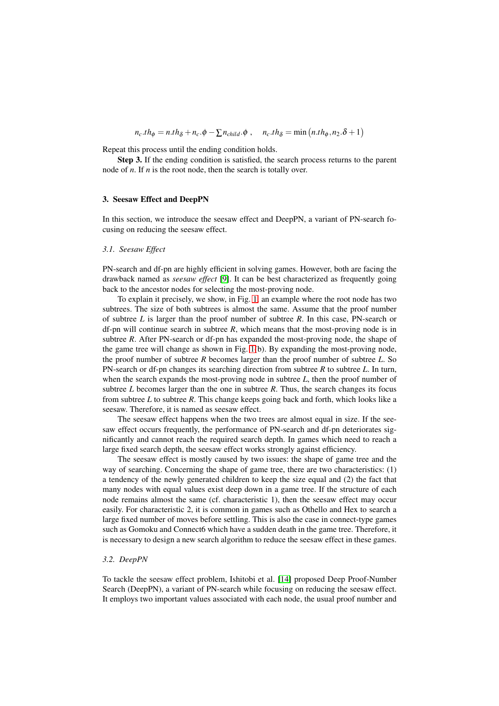$n_c$ .*th*<sub> $\phi$ </sub> = *n*.*th*<sub>δ</sub> + *n<sub>c</sub>*. $\phi$  -  $\sum n_{child}$ . $\phi$  ,  $n_c$ .*th*<sub>δ</sub> = min $(n.th_{\phi}, n_2.\delta + 1)$ 

Repeat this process until the ending condition holds.

Step 3. If the ending condition is satisfied, the search process returns to the parent node of *n*. If *n* is the root node, then the search is totally over.

#### <span id="page-4-0"></span>3. Seesaw Effect and DeepPN

In this section, we introduce the seesaw effect and DeepPN, a variant of PN-search focusing on reducing the seesaw effect.

#### *3.1. Seesaw Effect*

PN-search and df-pn are highly efficient in solving games. However, both are facing the drawback named as *seesaw effect* [9]. It can be best characterized as frequently going back to the ancestor nodes for selecting the most-proving node.

To explain it precisely, we show, in Fig. [1,](#page-5-1) an example where the root node has two subtrees. The size of both subtrees is almost the same. Assume that the proof number of subtree *L* is larger than the proof number of subtree *R*. In this case, PN-search or df-pn will continue search in subtree *R*, which means that the most-proving node is in subtree *R*. After PN-search or df-pn has expanded the most-proving node, the shape of the game tree will change as shown in Fig. [1\(](#page-5-1)b). By expanding the most-proving node, the proof number of subtree *R* becomes larger than the proof number of subtree *L*. So PN-search or df-pn changes its searching direction from subtree *R* to subtree *L*. In turn, when the search expands the most-proving node in subtree *L*, then the proof number of subtree *L* becomes larger than the one in subtree *R*. Thus, the search changes its focus from subtree *L* to subtree *R*. This change keeps going back and forth, which looks like a seesaw. Therefore, it is named as seesaw effect.

The seesaw effect happens when the two trees are almost equal in size. If the seesaw effect occurs frequently, the performance of PN-search and df-pn deteriorates significantly and cannot reach the required search depth. In games which need to reach a large fixed search depth, the seesaw effect works strongly against efficiency.

The seesaw effect is mostly caused by two issues: the shape of game tree and the way of searching. Concerning the shape of game tree, there are two characteristics: (1) a tendency of the newly generated children to keep the size equal and (2) the fact that many nodes with equal values exist deep down in a game tree. If the structure of each node remains almost the same (cf. characteristic 1), then the seesaw effect may occur easily. For characteristic 2, it is common in games such as Othello and Hex to search a large fixed number of moves before settling. This is also the case in connect-type games such as Gomoku and Connect6 which have a sudden death in the game tree. Therefore, it is necessary to design a new search algorithm to reduce the seesaw effect in these games.

#### *3.2. DeepPN*

To tackle the seesaw effect problem, Ishitobi et al. [14] proposed Deep Proof-Number Search (DeepPN), a variant of PN-search while focusing on reducing the seesaw effect. It employs two important values associated with each node, the usual proof number and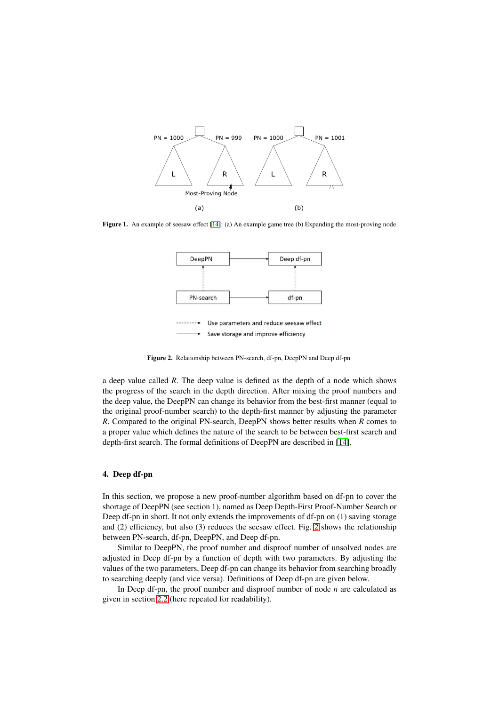<span id="page-5-1"></span>

<span id="page-5-2"></span>Figure 1. An example of seesaw effect [14]: (a) An example game tree (b) Expanding the most-proving node



Figure 2. Relationship between PN-search, df-pn, DeepPN and Deep df-pn

a deep value called *R*. The deep value is defined as the depth of a node which shows the progress of the search in the depth direction. After mixing the proof numbers and the deep value, the DeepPN can change its behavior from the best-first manner (equal to the original proof-number search) to the depth-first manner by adjusting the parameter *R*. Compared to the original PN-search, DeepPN shows better results when *R* comes to a proper value which defines the nature of the search to be between best-first search and depth-first search. The formal definitions of DeepPN are described in [14].

## <span id="page-5-0"></span>4. Deep df-pn

In this section, we propose a new proof-number algorithm based on df-pn to cover the shortage of DeepPN (see section 1), named as Deep Depth-First Proof-Number Search or Deep df-pn in short. It not only extends the improvements of df-pn on (1) saving storage and (2) efficiency, but also (3) reduces the seesaw effect. Fig. [2](#page-5-2) shows the relationship between PN-search, df-pn, DeepPN, and Deep df-pn.

Similar to DeepPN, the proof number and disproof number of unsolved nodes are adjusted in Deep df-pn by a function of depth with two parameters. By adjusting the values of the two parameters, Deep df-pn can change its behavior from searching broadly to searching deeply (and vice versa). Definitions of Deep df-pn are given below.

In Deep df-pn, the proof number and disproof number of node *n* are calculated as given in section [2.2](#page-3-0) (here repeated for readability).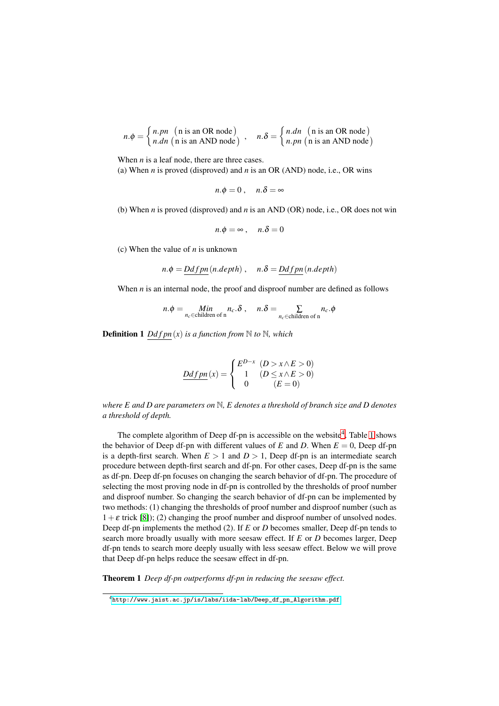$$
n.\phi = \begin{cases} n.pn & \text{(n is an OR node)} \\ n.dn & \text{(n is an AND node)} \end{cases}, \quad n.\delta = \begin{cases} n.dn & \text{(n is an OR node)} \\ n.pn & \text{(n is an AND node)} \end{cases}
$$

When *n* is a leaf node, there are three cases.

(a) When *n* is proved (disproved) and *n* is an OR (AND) node, i.e., OR wins

$$
n.\phi = 0 \,, \quad n.\delta = \infty
$$

(b) When *n* is proved (disproved) and *n* is an AND (OR) node, i.e., OR does not win

$$
n.\phi = \infty \,, \quad n.\delta = 0
$$

(c) When the value of *n* is unknown

$$
n.\phi = Ddfpn(n.depth), \quad n.\delta = Ddfpn(n.depth)
$$

When *n* is an internal node, the proof and disproof number are defined as follows

$$
n.\phi = \lim_{n_c \in \text{children of n}} n_c.\delta , \quad n.\delta = \sum_{n_c \in \text{children of n}} n_c.\phi
$$

**Definition 1**  $Ddfpn(x)$  *is a function from*  $\mathbb N$  *to*  $\mathbb N$ *, which* 

$$
\underline{Ddfpn}(x) = \begin{cases} E^{D-x} & (D > x \land E > 0) \\ 1 & (D \le x \land E > 0) \\ 0 & (E = 0) \end{cases}
$$

*where E and D are parameters on* N*, E denotes a threshold of branch size and D denotes a threshold of depth.*

The complete algorithm of Deep df-pn is accessible on the website<sup>[4](#page-6-0)</sup>. Table [1](#page-7-1) shows the behavior of Deep df-pn with different values of  $E$  and  $D$ . When  $E = 0$ , Deep df-pn is a depth-first search. When  $E > 1$  and  $D > 1$ , Deep df-pn is an intermediate search procedure between depth-first search and df-pn. For other cases, Deep df-pn is the same as df-pn. Deep df-pn focuses on changing the search behavior of df-pn. The procedure of selecting the most proving node in df-pn is controlled by the thresholds of proof number and disproof number. So changing the search behavior of df-pn can be implemented by two methods: (1) changing the thresholds of proof number and disproof number (such as  $1+\varepsilon$  trick [8]); (2) changing the proof number and disproof number of unsolved nodes. Deep df-pn implements the method (2). If *E* or *D* becomes smaller, Deep df-pn tends to search more broadly usually with more seesaw effect. If *E* or *D* becomes larger, Deep df-pn tends to search more deeply usually with less seesaw effect. Below we will prove that Deep df-pn helps reduce the seesaw effect in df-pn.

Theorem 1 *Deep df-pn outperforms df-pn in reducing the seesaw effect.*

<span id="page-6-0"></span><sup>4</sup>[http://www.jaist.ac.jp/is/labs/iida-lab/Deep\\_df\\_pn\\_Algorithm.pdf](http://www.jaist.ac.jp/is/labs/iida-lab/Deep_df_pn_Algorithm.pdf)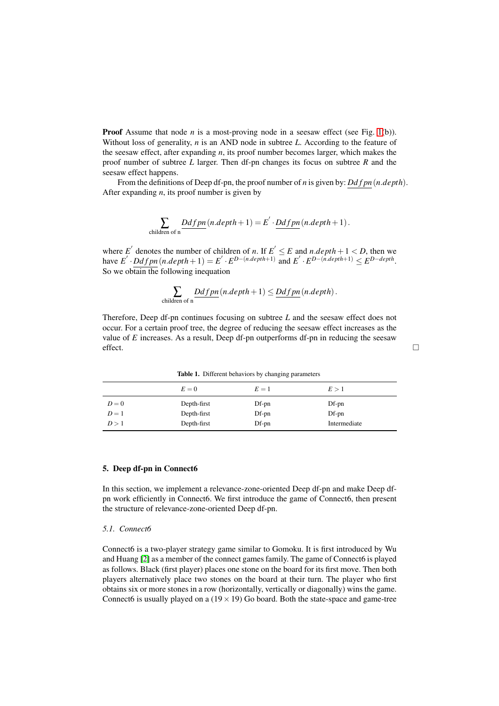Proof Assume that node *n* is a most-proving node in a seesaw effect (see Fig. [1\(](#page-5-1)b)). Without loss of generality, *n* is an AND node in subtree *L*. According to the feature of the seesaw effect, after expanding *n*, its proof number becomes larger, which makes the proof number of subtree *L* larger. Then df-pn changes its focus on subtree *R* and the seesaw effect happens.

From the definitions of Deep df-pn, the proof number of *n* is given by: *Dd f pn*(*n*.*depth*). After expanding *n*, its proof number is given by

$$
\sum_{children \text{ of } n} \underbrace{Ddfpn}_{\text{children of } n} (n.depth + 1) = E^{'} \cdot \underbrace{Ddfpn}_{\text{}(n.depth + 1).
$$

where *E*<sup>'</sup> denotes the number of children of *n*. If  $E' \le E$  and *n*.*depth* + 1 < *D*, then we have  $E' \cdot Ddfpn(n.depth+1) = E' \cdot E^{D-(n.depth+1)}$  and  $E' \cdot E^{D-(n.depth+1)} \leq E^{D-depth}$ . So we obtain the following inequation

$$
\sum_{children \text{ of } n} \frac{Ddfpn(n.depth + 1) \leq Ddfpn(n.depth).
$$

Therefore, Deep df-pn continues focusing on subtree *L* and the seesaw effect does not occur. For a certain proof tree, the degree of reducing the seesaw effect increases as the value of *E* increases. As a result, Deep df-pn outperforms df-pn in reducing the seesaw effect.  $\Box$ 

Table 1. Different behaviors by changing parameters

<span id="page-7-1"></span>

|       | $E=0$       | $E=1$    | E > 1        |
|-------|-------------|----------|--------------|
| $D=0$ | Depth-first | $Df$ -pn | $Df$ -pn     |
| $D=1$ | Depth-first | $Df$ -pn | Df-pn        |
| D>1   | Depth-first | $Df$ -pn | Intermediate |

#### <span id="page-7-0"></span>5. Deep df-pn in Connect6

In this section, we implement a relevance-zone-oriented Deep df-pn and make Deep dfpn work efficiently in Connect6. We first introduce the game of Connect6, then present the structure of relevance-zone-oriented Deep df-pn.

#### *5.1. Connect6*

Connect6 is a two-player strategy game similar to Gomoku. It is first introduced by Wu and Huang [2] as a member of the connect games family. The game of Connect6 is played as follows. Black (first player) places one stone on the board for its first move. Then both players alternatively place two stones on the board at their turn. The player who first obtains six or more stones in a row (horizontally, vertically or diagonally) wins the game. Connect6 is usually played on a  $(19 \times 19)$  Go board. Both the state-space and game-tree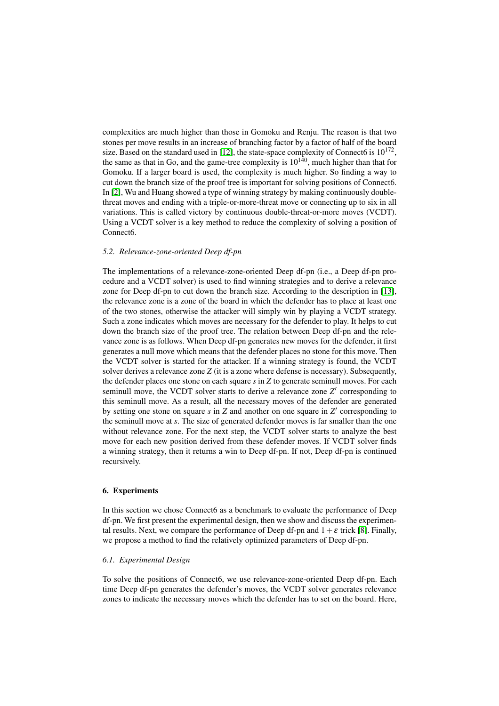complexities are much higher than those in Gomoku and Renju. The reason is that two stones per move results in an increase of branching factor by a factor of half of the board size. Based on the standard used in [12], the state-space complexity of Connect6 is  $10^{172}$ , the same as that in Go, and the game-tree complexity is  $10^{140}$ , much higher than that for Gomoku. If a larger board is used, the complexity is much higher. So finding a way to cut down the branch size of the proof tree is important for solving positions of Connect6. In [2], Wu and Huang showed a type of winning strategy by making continuously doublethreat moves and ending with a triple-or-more-threat move or connecting up to six in all variations. This is called victory by continuous double-threat-or-more moves (VCDT). Using a VCDT solver is a key method to reduce the complexity of solving a position of Connect6.

## *5.2. Relevance-zone-oriented Deep df-pn*

The implementations of a relevance-zone-oriented Deep df-pn (i.e., a Deep df-pn procedure and a VCDT solver) is used to find winning strategies and to derive a relevance zone for Deep df-pn to cut down the branch size. According to the description in [13], the relevance zone is a zone of the board in which the defender has to place at least one of the two stones, otherwise the attacker will simply win by playing a VCDT strategy. Such a zone indicates which moves are necessary for the defender to play. It helps to cut down the branch size of the proof tree. The relation between Deep df-pn and the relevance zone is as follows. When Deep df-pn generates new moves for the defender, it first generates a null move which means that the defender places no stone for this move. Then the VCDT solver is started for the attacker. If a winning strategy is found, the VCDT solver derives a relevance zone *Z* (it is a zone where defense is necessary). Subsequently, the defender places one stone on each square *s* in *Z* to generate seminull moves. For each seminull move, the VCDT solver starts to derive a relevance zone Z' corresponding to this seminull move. As a result, all the necessary moves of the defender are generated by setting one stone on square *s* in *Z* and another on one square in *Z* ′ corresponding to the seminull move at *s*. The size of generated defender moves is far smaller than the one without relevance zone. For the next step, the VCDT solver starts to analyze the best move for each new position derived from these defender moves. If VCDT solver finds a winning strategy, then it returns a win to Deep df-pn. If not, Deep df-pn is continued recursively.

#### <span id="page-8-0"></span>6. Experiments

In this section we chose Connect6 as a benchmark to evaluate the performance of Deep df-pn. We first present the experimental design, then we show and discuss the experimental results. Next, we compare the performance of Deep df-pn and  $1+\varepsilon$  trick [8]. Finally, we propose a method to find the relatively optimized parameters of Deep df-pn.

#### *6.1. Experimental Design*

To solve the positions of Connect6, we use relevance-zone-oriented Deep df-pn. Each time Deep df-pn generates the defender's moves, the VCDT solver generates relevance zones to indicate the necessary moves which the defender has to set on the board. Here,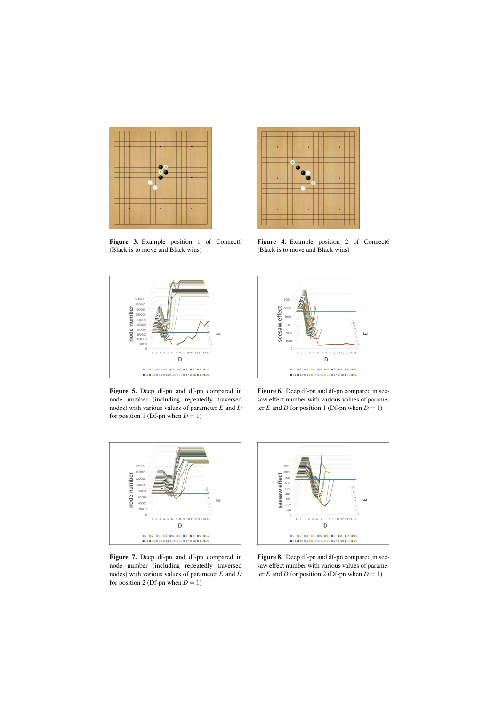<span id="page-9-0"></span>

Figure 3. Example position 1 of Connect6 (Black is to move and Black wins)



Figure 4. Example position 2 of Connect6 (Black is to move and Black wins)

<span id="page-9-1"></span>

Figure 5. Deep df-pn and df-pn compared in node number (including repeatedly traversed nodes) with various values of parameter *E* and *D* for position 1 (Df-pn when  $D = 1$ )



Figure 6. Deep df-pn and df-pn compared in seesaw effect number with various values of parameter *E* and *D* for position 1 (Df-pn when  $\overrightarrow{D} = 1$ )

<span id="page-9-2"></span>

Figure 7. Deep df-pn and df-pn compared in node number (including repeatedly traversed nodes) with various values of parameter *E* and *D* for position 2 (Df-pn when  $D = 1$ )



Figure 8. Deep df-pn and df-pn compared in seesaw effect number with various values of parameter *E* and *D* for position 2 (Df-pn when  $\overline{D} = 1$ )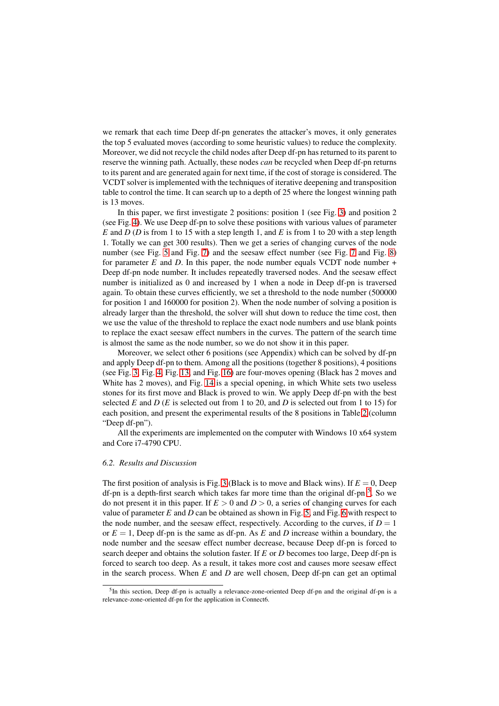we remark that each time Deep df-pn generates the attacker's moves, it only generates the top 5 evaluated moves (according to some heuristic values) to reduce the complexity. Moreover, we did not recycle the child nodes after Deep df-pn has returned to its parent to reserve the winning path. Actually, these nodes *can* be recycled when Deep df-pn returns to its parent and are generated again for next time, if the cost of storage is considered. The VCDT solver is implemented with the techniques of iterative deepening and transposition table to control the time. It can search up to a depth of 25 where the longest winning path is 13 moves.

In this paper, we first investigate 2 positions: position 1 (see Fig. [3\)](#page-9-0) and position 2 (see Fig. [4\)](#page-9-0). We use Deep df-pn to solve these positions with various values of parameter *E* and *D* (*D* is from 1 to 15 with a step length 1, and *E* is from 1 to 20 with a step length 1. Totally we can get 300 results). Then we get a series of changing curves of the node number (see Fig. [5](#page-9-1) and Fig. [7\)](#page-9-2) and the seesaw effect number (see Fig. [7](#page-9-2) and Fig. [8\)](#page-9-2) for parameter  $E$  and  $D$ . In this paper, the node number equals VCDT node number  $+$ Deep df-pn node number. It includes repeatedly traversed nodes. And the seesaw effect number is initialized as 0 and increased by 1 when a node in Deep df-pn is traversed again. To obtain these curves efficiently, we set a threshold to the node number (500000 for position 1 and 160000 for position 2). When the node number of solving a position is already larger than the threshold, the solver will shut down to reduce the time cost, then we use the value of the threshold to replace the exact node numbers and use blank points to replace the exact seesaw effect numbers in the curves. The pattern of the search time is almost the same as the node number, so we do not show it in this paper.

Moreover, we select other 6 positions (see Appendix) which can be solved by df-pn and apply Deep df-pn to them. Among all the positions (together 8 positions), 4 positions (see Fig. [3,](#page-9-0) Fig. [4,](#page-9-0) Fig. [13,](#page-16-0) and Fig. [16\)](#page-16-1) are four-moves opening (Black has 2 moves and White has 2 moves), and Fig. [14](#page-16-0) is a special opening, in which White sets two useless stones for its first move and Black is proved to win. We apply Deep df-pn with the best selected *E* and *D* (*E* is selected out from 1 to 20, and *D* is selected out from 1 to 15) for each position, and present the experimental results of the 8 positions in Table [2](#page-13-0) (column "Deep df-pn").

All the experiments are implemented on the computer with Windows 10 x64 system and Core i7-4790 CPU.

#### *6.2. Results and Discussion*

The first position of analysis is Fig. [3](#page-9-0) (Black is to move and Black wins). If  $E = 0$ , Deep df-pn is a depth-first search which takes far more time than the original df-pn <sup>[5](#page-10-0)</sup>. So we do not present it in this paper. If  $E > 0$  and  $D > 0$ , a series of changing curves for each value of parameter  $E$  and  $D$  can be obtained as shown in Fig. [5,](#page-9-1) and Fig. [6](#page-9-1) with respect to the node number, and the seesaw effect, respectively. According to the curves, if  $D = 1$ or  $E = 1$ , Deep df-pn is the same as df-pn. As  $E$  and  $D$  increase within a boundary, the node number and the seesaw effect number decrease, because Deep df-pn is forced to search deeper and obtains the solution faster. If *E* or *D* becomes too large, Deep df-pn is forced to search too deep. As a result, it takes more cost and causes more seesaw effect in the search process. When *E* and *D* are well chosen, Deep df-pn can get an optimal

<span id="page-10-0"></span><sup>&</sup>lt;sup>5</sup>In this section, Deep df-pn is actually a relevance-zone-oriented Deep df-pn and the original df-pn is a relevance-zone-oriented df-pn for the application in Connect6.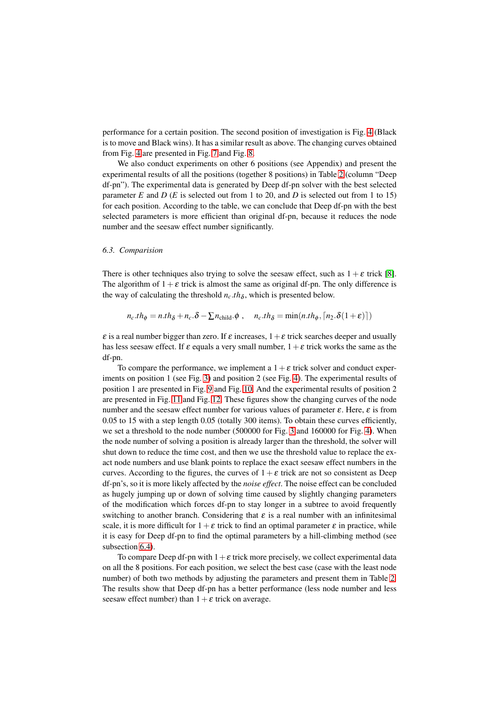performance for a certain position. The second position of investigation is Fig. [4](#page-9-0) (Black is to move and Black wins). It has a similar result as above. The changing curves obtained from Fig. [4](#page-9-0) are presented in Fig. [7](#page-9-2) and Fig. [8.](#page-9-2)

We also conduct experiments on other 6 positions (see Appendix) and present the experimental results of all the positions (together 8 positions) in Table [2](#page-13-0) (column "Deep df-pn"). The experimental data is generated by Deep df-pn solver with the best selected parameter *E* and *D* (*E* is selected out from 1 to 20, and *D* is selected out from 1 to 15) for each position. According to the table, we can conclude that Deep df-pn with the best selected parameters is more efficient than original df-pn, because it reduces the node number and the seesaw effect number significantly.

#### *6.3. Comparision*

There is other techniques also trying to solve the seesaw effect, such as  $1+\varepsilon$  trick [8]. The algorithm of  $1+\varepsilon$  trick is almost the same as original df-pn. The only difference is the way of calculating the threshold  $n_c$ .*th* $_\delta$ , which is presented below.

$$
n_c.th_{\phi}=n.th_{\delta}+n_c.\delta-\sum n_{child}.\phi\ ,\quad n_c.th_{\delta}=\min(n.th_{\phi},\lceil n_2.\delta(1+\varepsilon)\rceil)
$$

 $\varepsilon$  is a real number bigger than zero. If  $\varepsilon$  increases,  $1+\varepsilon$  trick searches deeper and usually has less seesaw effect. If  $\varepsilon$  equals a very small number,  $1+\varepsilon$  trick works the same as the df-pn.

To compare the performance, we implement a  $1+\varepsilon$  trick solver and conduct experiments on position 1 (see Fig. [3\)](#page-9-0) and position 2 (see Fig. [4\)](#page-9-0). The experimental results of position 1 are presented in Fig. [9](#page-12-0) and Fig. [10.](#page-12-0) And the experimental results of position 2 are presented in Fig. [11](#page-12-1) and Fig. [12.](#page-12-1) These figures show the changing curves of the node number and the seesaw effect number for various values of parameter  $\varepsilon$ . Here,  $\varepsilon$  is from 0.05 to 15 with a step length 0.05 (totally 300 items). To obtain these curves efficiently, we set a threshold to the node number (500000 for Fig. [3](#page-9-0) and 160000 for Fig. [4\)](#page-9-0). When the node number of solving a position is already larger than the threshold, the solver will shut down to reduce the time cost, and then we use the threshold value to replace the exact node numbers and use blank points to replace the exact seesaw effect numbers in the curves. According to the figures, the curves of  $1+\varepsilon$  trick are not so consistent as Deep df-pn's, so it is more likely affected by the *noise effect*. The noise effect can be concluded as hugely jumping up or down of solving time caused by slightly changing parameters of the modification which forces df-pn to stay longer in a subtree to avoid frequently switching to another branch. Considering that  $\varepsilon$  is a real number with an infinitesimal scale, it is more difficult for  $1+\varepsilon$  trick to find an optimal parameter  $\varepsilon$  in practice, while it is easy for Deep df-pn to find the optimal parameters by a hill-climbing method (see subsection [6.4\)](#page-12-2).

To compare Deep df-pn with  $1+\varepsilon$  trick more precisely, we collect experimental data on all the 8 positions. For each position, we select the best case (case with the least node number) of both two methods by adjusting the parameters and present them in Table [2.](#page-13-0) The results show that Deep df-pn has a better performance (less node number and less seesaw effect number) than  $1+\varepsilon$  trick on average.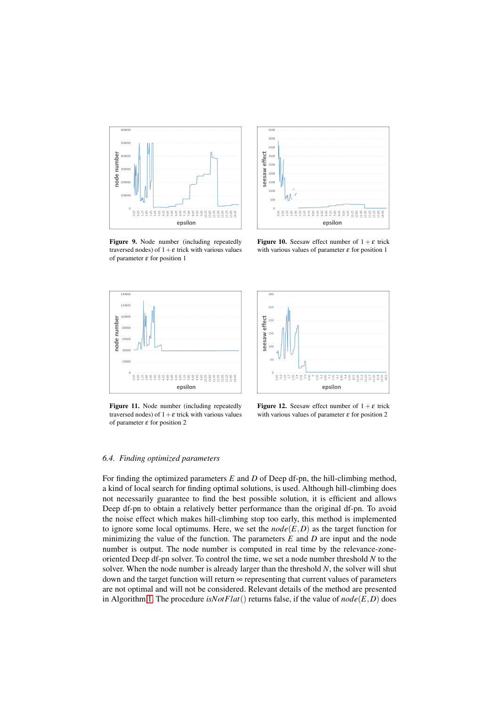<span id="page-12-0"></span>

Figure 9. Node number (including repeatedly traversed nodes) of  $1+\varepsilon$  trick with various values of parameter  $\varepsilon$  for position 1



**Figure 10.** Seesaw effect number of  $1 + \varepsilon$  trick with various values of parameter  $\varepsilon$  for position 1

<span id="page-12-1"></span>



Figure 11. Node number (including repeatedly traversed nodes) of  $1+\varepsilon$  trick with various values of parameter  $\varepsilon$  for position 2

**Figure 12.** Seesaw effect number of  $1 + \varepsilon$  trick with various values of parameter  $\varepsilon$  for position 2

#### <span id="page-12-2"></span>*6.4. Finding optimized parameters*

For finding the optimized parameters *E* and *D* of Deep df-pn, the hill-climbing method, a kind of local search for finding optimal solutions, is used. Although hill-climbing does not necessarily guarantee to find the best possible solution, it is efficient and allows Deep df-pn to obtain a relatively better performance than the original df-pn. To avoid the noise effect which makes hill-climbing stop too early, this method is implemented to ignore some local optimums. Here, we set the  $node(E, D)$  as the target function for minimizing the value of the function. The parameters *E* and *D* are input and the node number is output. The node number is computed in real time by the relevance-zoneoriented Deep df-pn solver. To control the time, we set a node number threshold *N* to the solver. When the node number is already larger than the threshold *N*, the solver will shut down and the target function will return ∞ representing that current values of parameters are not optimal and will not be considered. Relevant details of the method are presented in Algorithm [1.](#page-13-1) The procedure  $isNotFlat()$  returns false, if the value of  $node(E, D)$  does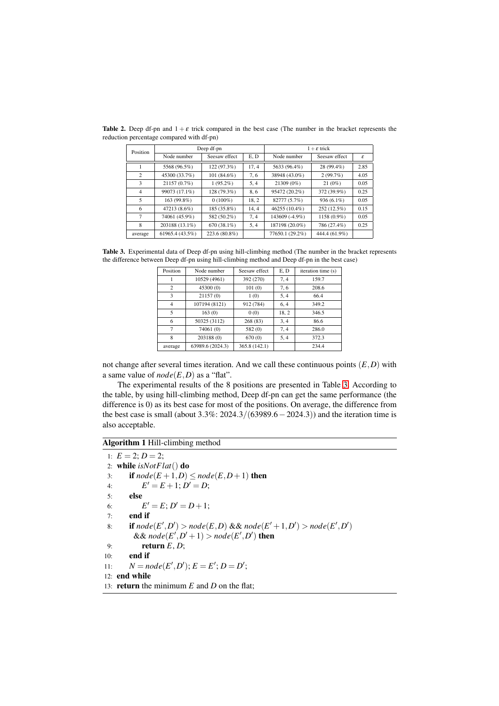| Position       | Deep df-pn      |               |      | $1 + \varepsilon$ trick |               |      |
|----------------|-----------------|---------------|------|-------------------------|---------------|------|
|                | Node number     | Seesaw effect | E, D | Node number             | Seesaw effect | ε    |
|                | 5568 (96.5%)    | 122 (97.3%)   | 17.4 | 5633 (96.4%)            | 28 (99.4%)    | 2.85 |
| $\mathcal{D}$  | 45300 (33.7%)   | $101(84.6\%)$ | 7.6  | 38948 (43.0%)           | 2(99.7%)      | 4.05 |
| 3              | 21157 (0.7%)    | $1(95.2\%)$   | 5, 4 | 21309 (0%)              | $21(0\%)$     | 0.05 |
| $\overline{4}$ | 99073 (17.1%)   | 128 (79.3%)   | 8.6  | 95472 (20.2%)           | 372 (39.9%)   | 0.25 |
| 5              | 163 (99.8%)     | $0(100\%)$    | 18.2 | 82777 (5.7%)            | $936(6.1\%)$  | 0.05 |
| 6              | 47213 (8.6%)    | 185 (35.8%)   | 14.4 | 46255 (10.4%)           | 252 (12.5%)   | 0.15 |
| 7              | 74061 (45.9%)   | 582 (50.2%)   | 7.4  | 143609 (-4.9%)          | 1158 (0.9%)   | 0.05 |
| 8              | 203188 (13.1%)  | $670(38.1\%)$ | 5, 4 | 187198 (20.0%)          | 786 (27.4%)   | 0.25 |
| average        | 61965.4 (43.5%) | 223.6 (80.8%) |      | 77650.1 (29.2%)         | 444.4 (61.9%) |      |

<span id="page-13-0"></span>**Table 2.** Deep df-pn and  $1 + \varepsilon$  trick compared in the best case (The number in the bracket represents the reduction percentage compared with df-pn)

<span id="page-13-2"></span>Table 3. Experimental data of Deep df-pn using hill-climbing method (The number in the bracket represents the difference between Deep df-pn using hill-climbing method and Deep df-pn in the best case)

| Position       | Node number      | Seesaw effect | E, D  | iteration time (s) |
|----------------|------------------|---------------|-------|--------------------|
|                | 10529 (4961)     | 392 (270)     | 7,4   | 159.7              |
| $\overline{2}$ | 45300 (0)        | 101(0)        | 7,6   | 208.6              |
| 3              | 21157(0)         | 1(0)          | 5, 4  | 66.4               |
| 4              | 107194 (8121)    | 912 (784)     | 6, 4  | 349.2              |
| 5              | 163(0)           | 0(0)          | 18, 2 | 346.5              |
| 6              | 50325 (3112)     | 268 (83)      | 3, 4  | 86.6               |
| 7              | 74061 (0)        | 582 (0)       | 7,4   | 286.0              |
| 8              | 203188 (0)       | 670(0)        | 5, 4  | 372.3              |
| average        | 63989.6 (2024.3) | 365.8 (142.1) |       | 234.4              |

not change after several times iteration. And we call these continuous points (*E*,*D*) with a same value of  $node(E, D)$  as a "flat".

The experimental results of the 8 positions are presented in Table [3.](#page-13-2) According to the table, by using hill-climbing method, Deep df-pn can get the same performance (the difference is 0) as its best case for most of the positions. On average, the difference from the best case is small (about  $3.3\%$ : 2024.3/(63989.6 - 2024.3)) and the iteration time is also acceptable.

<span id="page-13-1"></span>Algorithm 1 Hill-climbing method

```
1: E = 2; D = 2;
2: while isNotFlat() do
3: if node(E+1,D) \leq node(E,D+1) then
4: E
           ' = E + 1; D' = D;5: else
 6: E' = E; D' = D + 1;
7: end if
 8: if node(E', D') > node(E, D) && node(E' + 1, D') > node(E', D')&& node(E', D' + 1) > node(E', D') then
9: return E, D;
10: end if
11: N = node(E', D'); E = E'; D = D';12: end while
13: return the minimum E and D on the flat;
```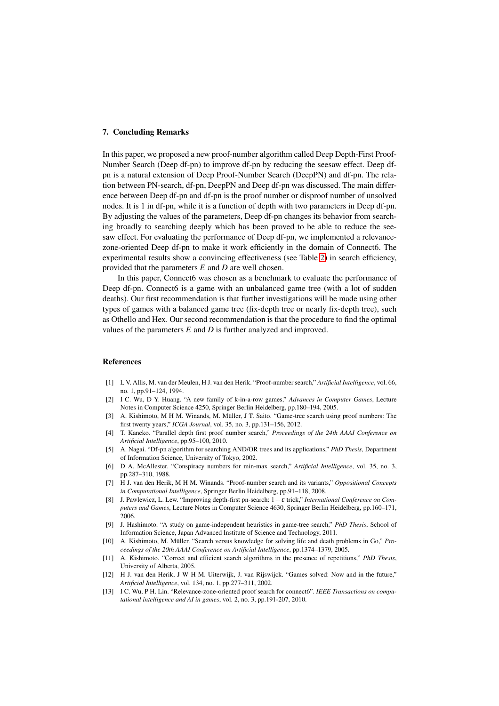## <span id="page-14-0"></span>7. Concluding Remarks

In this paper, we proposed a new proof-number algorithm called Deep Depth-First Proof-Number Search (Deep df-pn) to improve df-pn by reducing the seesaw effect. Deep dfpn is a natural extension of Deep Proof-Number Search (DeepPN) and df-pn. The relation between PN-search, df-pn, DeepPN and Deep df-pn was discussed. The main difference between Deep df-pn and df-pn is the proof number or disproof number of unsolved nodes. It is 1 in df-pn, while it is a function of depth with two parameters in Deep df-pn. By adjusting the values of the parameters, Deep df-pn changes its behavior from searching broadly to searching deeply which has been proved to be able to reduce the seesaw effect. For evaluating the performance of Deep df-pn, we implemented a relevancezone-oriented Deep df-pn to make it work efficiently in the domain of Connect6. The experimental results show a convincing effectiveness (see Table [2\)](#page-13-0) in search efficiency, provided that the parameters *E* and *D* are well chosen.

In this paper, Connect6 was chosen as a benchmark to evaluate the performance of Deep df-pn. Connect6 is a game with an unbalanced game tree (with a lot of sudden deaths). Our first recommendation is that further investigations will be made using other types of games with a balanced game tree (fix-depth tree or nearly fix-depth tree), such as Othello and Hex. Our second recommendation is that the procedure to find the optimal values of the parameters *E* and *D* is further analyzed and improved.

#### References

- [1] L V. Allis, M. van der Meulen, H J. van den Herik. "Proof-number search," *Artificial Intelligence*, vol. 66, no. 1, pp.91–124, 1994.
- [2] I C. Wu, D Y. Huang. "A new family of k-in-a-row games," *Advances in Computer Games*, Lecture Notes in Computer Science 4250, Springer Berlin Heidelberg, pp.180–194, 2005.
- [3] A. Kishimoto, M H M. Winands, M. Müller, J T. Saito. "Game-tree search using proof numbers: The first twenty years," *ICGA Journal*, vol. 35, no. 3, pp.131–156, 2012.
- [4] T. Kaneko. "Parallel depth first proof number search," *Proceedings of the 24th AAAI Conference on Artificial Intelligence*, pp.95–100, 2010.
- [5] A. Nagai. "Df-pn algorithm for searching AND/OR trees and its applications," *PhD Thesis*, Department of Information Science, University of Tokyo, 2002.
- [6] D A. McAllester. "Conspiracy numbers for min-max search," *Artificial Intelligence*, vol. 35, no. 3, pp.287–310, 1988.
- [7] H J. van den Herik, M H M. Winands. "Proof-number search and its variants," *Oppositional Concepts in Computational Intelligence*, Springer Berlin Heidelberg, pp.91–118, 2008.
- [8] J. Pawlewicz, L. Lew. "Improving depth-first pn-search: 1+<sup>ε</sup> trick," *International Conference on Computers and Games*, Lecture Notes in Computer Science 4630, Springer Berlin Heidelberg, pp.160–171, 2006.
- [9] J. Hashimoto. "A study on game-independent heuristics in game-tree search," *PhD Thesis*, School of Information Science, Japan Advanced Institute of Science and Technology, 2011.
- [10] A. Kishimoto, M. Müller. "Search versus knowledge for solving life and death problems in Go," *Proceedings of the 20th AAAI Conference on Artificial Intelligence*, pp.1374–1379, 2005.
- [11] A. Kishimoto. "Correct and efficient search algorithms in the presence of repetitions," *PhD Thesis*, University of Alberta, 2005.
- [12] H J. van den Herik, J W H M. Uiterwijk, J. van Rijswijck. "Games solved: Now and in the future," *Artificial Intelligence*, vol. 134, no. 1, pp.277–311, 2002.
- [13] I C. Wu, P H. Lin. "Relevance-zone-oriented proof search for connect6". *IEEE Transactions on computational intelligence and AI in games*, vol. 2, no. 3, pp.191-207, 2010.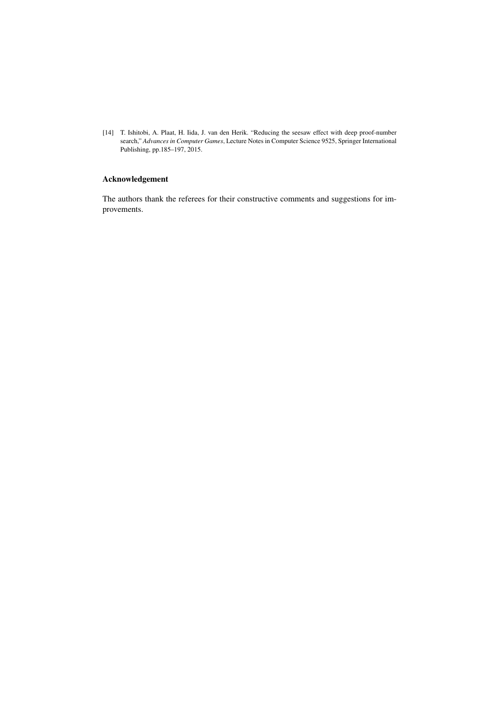[14] T. Ishitobi, A. Plaat, H. Iida, J. van den Herik. "Reducing the seesaw effect with deep proof-number search," *Advances in Computer Games*, Lecture Notes in Computer Science 9525, Springer International Publishing, pp.185–197, 2015.

## Acknowledgement

The authors thank the referees for their constructive comments and suggestions for improvements.